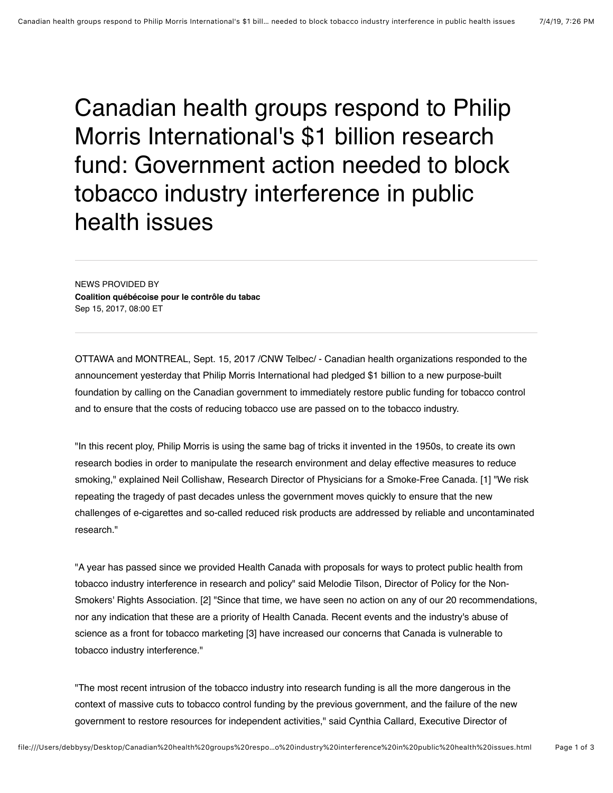Canadian health groups respond to Philip Morris International's \$1 billion research fund: Government action needed to block tobacco industry interference in public health issues

NEWS PROVIDED BY **[Coalition québécoise pour le contrôle du tabac](https://www.newswire.ca/news/coalition-qu%C3%A9b%C3%A9coise-pour-le-contr%C3%B4le-du-tabac)**  Sep 15, 2017, 08:00 ET

OTTAWA and MONTREAL, Sept. 15, 2017 /CNW Telbec/ - Canadian health organizations responded to the announcement yesterday that Philip Morris International had pledged \$1 billion to a new purpose-built foundation by calling on the Canadian government to immediately restore public funding for tobacco control and to ensure that the costs of reducing tobacco use are passed on to the tobacco industry.

"In this recent ploy, Philip Morris is using the same bag of tricks it invented in the 1950s, to create its own research bodies in order to manipulate the research environment and delay effective measures to reduce smoking," explained Neil Collishaw, Research Director of Physicians for a Smoke-Free Canada. [1] "We risk repeating the tragedy of past decades unless the government moves quickly to ensure that the new challenges of e-cigarettes and so-called reduced risk products are addressed by reliable and uncontaminated research."

"A year has passed since we provided Health Canada with proposals for ways to protect public health from tobacco industry interference in research and policy" said Melodie Tilson, Director of Policy for the Non-Smokers' Rights Association. [2] "Since that time, we have seen no action on any of our 20 recommendations, nor any indication that these are a priority of Health Canada. Recent events and the industry's abuse of science as a front for tobacco marketing [3] have increased our concerns that Canada is vulnerable to tobacco industry interference."

"The most recent intrusion of the tobacco industry into research funding is all the more dangerous in the context of massive cuts to tobacco control funding by the previous government, and the failure of the new government to restore resources for independent activities," said Cynthia Callard, Executive Director of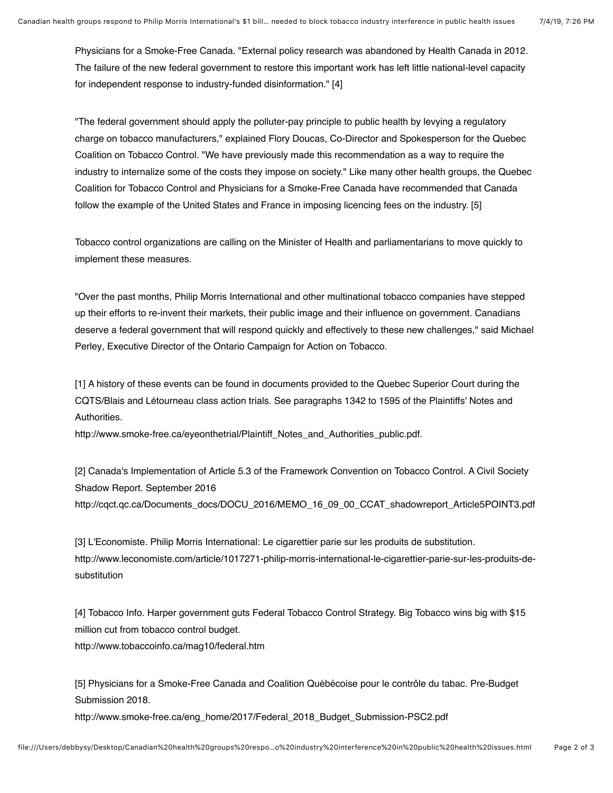Physicians for a Smoke-Free Canada. "External policy research was abandoned by Health Canada in 2012. The failure of the new federal government to restore this important work has left little national-level capacity for independent response to industry-funded disinformation." [4]

"The federal government should apply the polluter-pay principle to public health by levying a regulatory charge on tobacco manufacturers," explained Flory Doucas, Co-Director and Spokesperson for the Quebec Coalition on Tobacco Control. "We have previously made this recommendation as a way to require the industry to internalize some of the costs they impose on society." Like many other health groups, the Quebec Coalition for Tobacco Control and Physicians for a Smoke-Free Canada have recommended that Canada follow the example of the United States and France in imposing licencing fees on the industry. [5]

Tobacco control organizations are calling on the Minister of Health and parliamentarians to move quickly to implement these measures.

"Over the past months, Philip Morris International and other multinational tobacco companies have stepped up their efforts to re-invent their markets, their public image and their influence on government. Canadians deserve a federal government that will respond quickly and effectively to these new challenges," said Michael Perley, Executive Director of the Ontario Campaign for Action on Tobacco.

[1] A history of these events can be found in documents provided to the Quebec Superior Court during the CQTS/Blais and Létourneau class action trials. See paragraphs 1342 to 1595 of the Plaintiffs' Notes and Authorities.

[http://www.smoke-free.ca/eyeonthetrial/Plaintiff\\_Notes\\_and\\_Authorities\\_public.pdf.](http://www.smoke-free.ca/eyeonthetrial/Plaintiff_Notes_and_Authorities_public.pdf)

[2] Canada's Implementation of Article 5.3 of the Framework Convention on Tobacco Control. A Civil Society Shadow Report. September 2016 [http://cqct.qc.ca/Documents\\_docs/DOCU\\_2016/MEMO\\_16\\_09\\_00\\_CCAT\\_shadowreport\\_Article5POINT3.pdf](http://cqct.qc.ca/Documents_docs/DOCU_2016/MEMO_16_09_00_CCAT_shadowreport_Article5POINT3.pdf)

[3] L'Economiste. Philip Morris International: Le cigarettier parie sur les produits de substitution. [http://www.leconomiste.com/article/1017271-philip-morris-international-le-cigarettier-parie-sur-les-produits-de](http://www.leconomiste.com/article/1017271-philip-morris-international-le-cigarettier-parie-sur-les-produits-de-substitution)substitution

[4] Tobacco Info. Harper government guts Federal Tobacco Control Strategy. Big Tobacco wins big with \$15 million cut from tobacco control budget. <http://www.tobaccoinfo.ca/mag10/federal.htm>

[5] Physicians for a Smoke-Free Canada and Coalition Québécoise pour le contrôle du tabac. Pre-Budget Submission 2018.

[http://www.smoke-free.ca/eng\\_home/2017/Federal\\_2018\\_Budget\\_Submission-PSC2.pdf](http://www.smoke-free.ca/eng_home/2017/Federal_2018_Budget_Submission-PSC2.pdf)